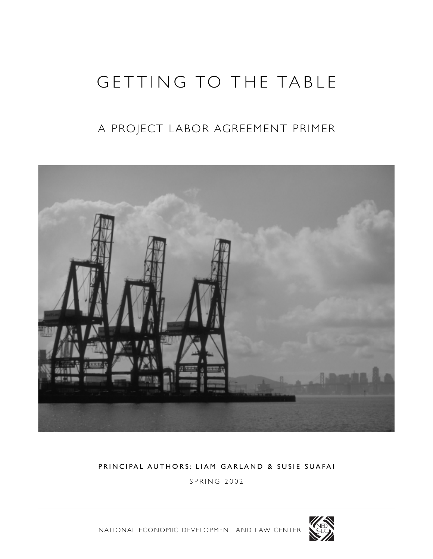# GETTING TO THE TABLE

## A PROJECT LABOR AGREEMENT PRIMER



## PRINCIPAL AUTHORS: LIAM GARLAND & SUSIE SUAFAI

SPRING 2002



NATIONAL ECONOMIC DEVELOPMENT AND LAW CENTER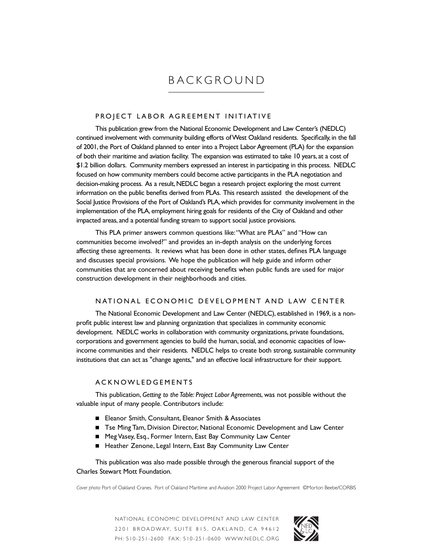## BACKGROUND

## PROJECT LABOR AGREEMENT INITIATIVE

This publication grew from the National Economic Development and Law Center's (NEDLC) continued involvement with community building efforts of West Oakland residents. Specifically, in the fall of 2001, the Port of Oakland planned to enter into a Project Labor Agreement (PLA) for the expansion of both their maritime and aviation facility. The expansion was estimated to take 10 years, at a cost of \$1.2 billion dollars. Community members expressed an interest in participating in this process. NEDLC focused on how community members could become active participants in the PLA negotiation and decision-making process. As a result, NEDLC began a research project exploring the most current information on the public benefits derived from PLAs. This research assisted the development of the Social Justice Provisions of the Port of Oakland's PLA, which provides for community involvement in the implementation of the PLA, employment hiring goals for residents of the City of Oakland and other impacted areas, and a potential funding stream to support social justice provisions.

This PLA primer answers common questions like:"What are PLAs" and "How can communities become involved?" and provides an in-depth analysis on the underlying forces affecting these agreements. It reviews what has been done in other states, defines PLA language and discusses special provisions. We hope the publication will help guide and inform other communities that are concerned about receiving benefits when public funds are used for major construction development in their neighborhoods and cities.

## N ATIONAL ECONOMIC DEVELOPMENT AND LAW CENTER

The National Economic Development and Law Center (NEDLC), established in 1969, is a nonprofit public interest law and planning organization that specializes in community economic development. NEDLC works in collaboration with community organizations, private foundations, corporations and government agencies to build the human, social, and economic capacities of lowincome communities and their residents. NEDLC helps to create both strong, sustainable community institutions that can act as "change agents," and an effective local infrastructure for their support.

## ACKNOWLEDGEMENTS

This publication, *Getting to the Table: Project Labor Agreements*, was not possible without the valuable input of many people. Contributors include:

- Eleanor Smith, Consultant, Eleanor Smith & Associates
- Tse Ming Tam, Division Director, National Economic Development and Law Center
- Meg Vasey, Esq., Former Intern, East Bay Community Law Center
- Heather Zenone, Legal Intern, East Bay Community Law Center

This publication was also made possible through the generous financial support of the Charles Stewart Mott Foundation.

*Cover photo:* Port of Oakland Cranes. Port of Oakland Maritime and Aviation 2000 Project Labor Agreement ©Morton Beebe/CORBIS

NATIONAL ECONOMIC DEVELOPMENT AND LAW CENTER 2201 BROADWAY, SUITE 815, OAKLAND, CA 94612 PH: 510-251-2600 FAX: 510-251-0600 WWW.NEDLC .ORG

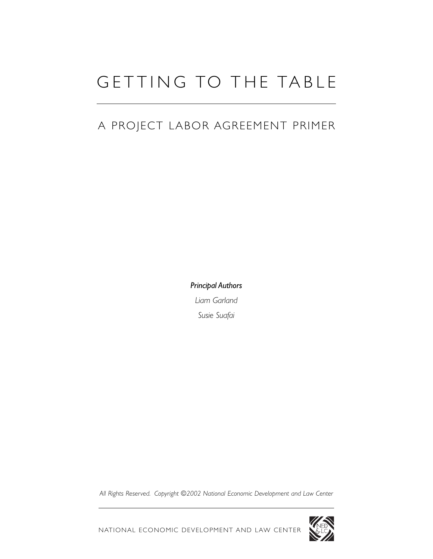# GETTING TO THE TABLE

## A PROJECT LABOR AGREEMENT PRIMER

*Principal Authors*

*Liam Garland Susie Suafai*

*All Rights Reserved. Copyright ©2002 National Economic Development and Law Center*



NATIONAL ECONOMIC DEVELOPMENT AND LAW CENTER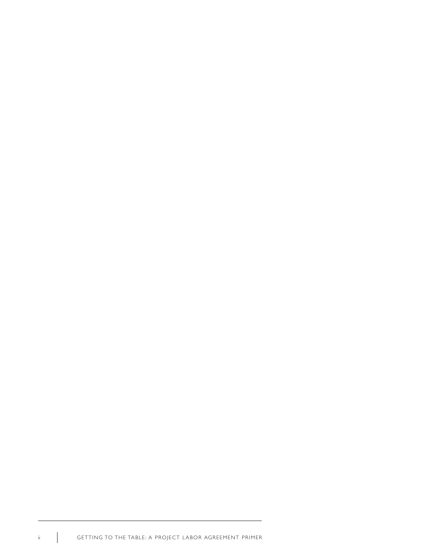ii GETTING TO THE TABLE: A PROJECT LABOR AGREEMENT PRIMER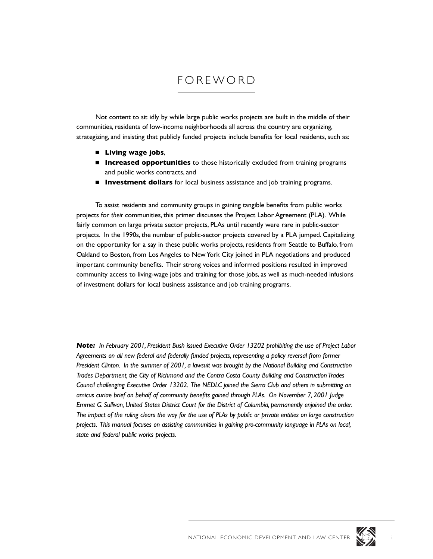## FOREWORD

Not content to sit idly by while large public works projects are built in the middle of their communities, residents of low-income neighborhoods all across the country are organizing, strategizing, and insisting that publicly funded projects include benefits for local residents, such as:

- **■ Living wage jobs**,
- **Increased opportunities** to those historically excluded from training programs and public works contracts, and
- **Investment dollars** for local business assistance and job training programs.

To assist residents and community groups in gaining tangible benefits from public works projects for *their* communities, this primer discusses the Project Labor Agreement (PLA). While fairly common on large private sector projects, PLAs until recently were rare in public-sector projects. In the 1990s, the number of public-sector projects covered by a PLA jumped. Capitalizing on the opportunity for a say in these public works projects, residents from Seattle to Buffalo, from Oakland to Boston, from Los Angeles to New York City joined in PLA negotiations and produced important community benefits. Their strong voices and informed positions resulted in improved community access to living-wage jobs and training for those jobs, as well as much-needed infusions of investment dollars for local business assistance and job training programs.

*Note: In February 2001, President Bush issued Executive Order 13202 prohibiting the use of Project Labor Agreements on all new federal and federally funded projects, representing a policy reversal from former President Clinton. In the summer of 2001, a lawsuit was brought by the National Building and Construction Trades Department, the City of Richmond and the Contra Costa County Building and Construction Trades Council challenging Executive Order 13202. The NEDLC joined the Sierra Club and others in submitting an amicus curiae brief on behalf of community benefits gained through PLAs. On November 7, 2001 Judge Emmet G. Sullivan, United States District Court for the District of Columbia, permanently enjoined the order. The impact of the ruling clears the way for the use of PLAs by public or private entities on large construction projects. This manual focuses on assisting communities in gaining pro-community language in PLAs on local, state and federal public works projects.*

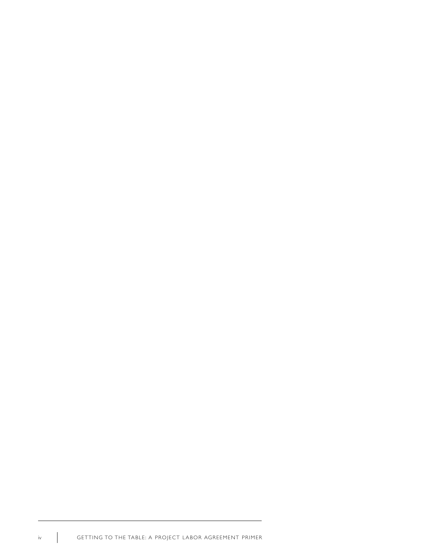## iv GETTING TO THE TABLE: A PROJECT LABOR AGREEMENT PRIMER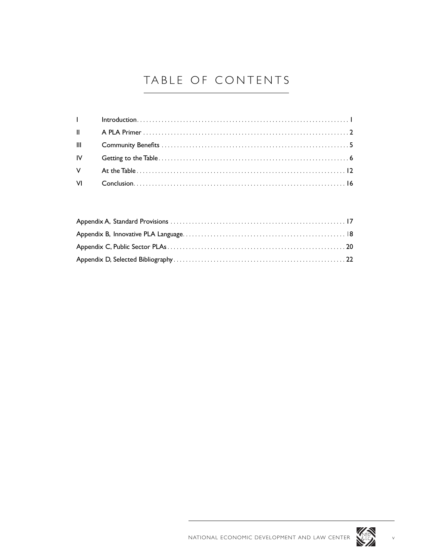## TABLE OF CONTENTS

| $\begin{tabular}{ll} \bf{I} & \bf{I} & \bf{I} & \bf{I} & \bf{I} & \bf{I} & \bf{I} \\ \bf{I} & \bf{I} & \bf{I} & \bf{I} & \bf{I} & \bf{I} \\ \bf{I} & \bf{I} & \bf{I} & \bf{I} & \bf{I} & \bf{I} \\ \bf{I} & \bf{I} & \bf{I} & \bf{I} & \bf{I} & \bf{I} \\ \bf{I} & \bf{I} & \bf{I} & \bf{I} & \bf{I} & \bf{I} \\ \bf{I} & \bf{I} & \bf{I} & \bf{I} & \bf$ |
|-----------------------------------------------------------------------------------------------------------------------------------------------------------------------------------------------------------------------------------------------------------------------------------------------------------------------------------------------------------|
|                                                                                                                                                                                                                                                                                                                                                           |
|                                                                                                                                                                                                                                                                                                                                                           |
|                                                                                                                                                                                                                                                                                                                                                           |
|                                                                                                                                                                                                                                                                                                                                                           |
|                                                                                                                                                                                                                                                                                                                                                           |

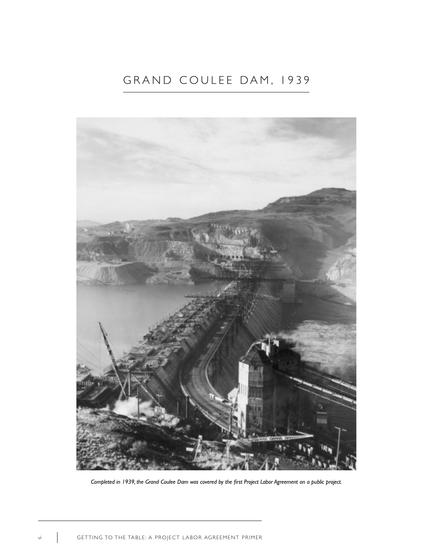## GRAND COULEE DAM, 1939



*Completed in 1939, the Grand Coulee Dam was covered by the first Project Labor Agreement on a public project.*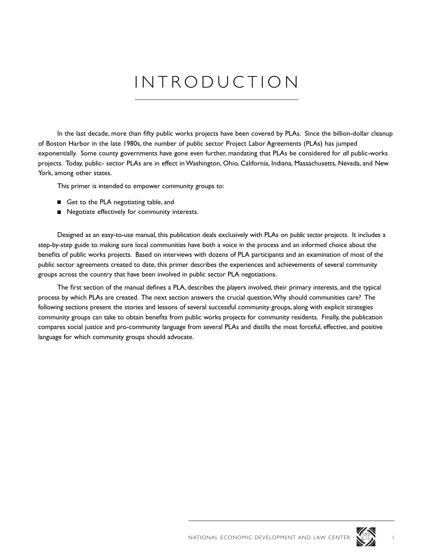# INTRODUCTION

In the last decade, more than fifty public works projects have been covered by PLAs. Since the billion-dollar cleanup of Boston Harbor in the late 1980s, the number of public sector Project Labor Agreements (PLAs) has jumped exponentially. Some county governments have gone even further, mandating that PLAs be considered for *all* public-works projects. Today, public- sector PLAs are in effect in Washington, Ohio, California, Indiana, Massachusetts, Nevada, and New York, among other states.

This primer is intended to empower community groups to:

- Get to the PLA negotiating table, and
- Negotiate effectively for community interests.

Designed as an easy-to-use manual, this publication deals exclusively with PLAs on *public sector* projects. It includes a step-by-step guide to making sure local communities have both a voice in the process and an informed choice about the benefits of public works projects. Based on interviews with dozens of PLA participants and an examination of most of the public sector agreements created to date, this primer describes the experiences and achievements of several community groups across the country that have been involved in public sector PLA negotiations.

The first section of the manual defines a PLA, describes the players involved, their primary interests, and the typical process by which PLAs are created. The next section answers the crucial question,Why should communities care? The following sections present the stories and lessons of several successful community groups, along with explicit strategies community groups can take to obtain benefits from public works projects for community residents. Finally, the publication compares social justice and pro-community language from several PLAs and distills the most forceful, effective, and positive language for which community groups should advocate.

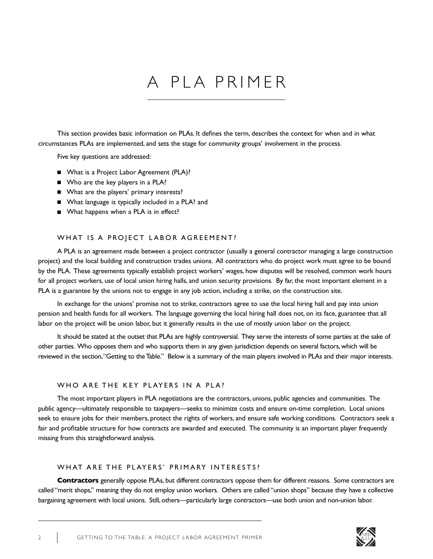# A PLA PRIMER

This section provides basic information on PLAs. It defines the term, describes the context for when and in what circumstances PLAs are implemented, and sets the stage for community groups' involvement in the process.

Five key questions are addressed:

- What is a Project Labor Agreement (PLA)?
- Who are the key players in a PLA?
- What are the players' primary interests?
- What language is typically included in a PLA? and
- What happens when a PLA is in effect?

## WHAT IS A PROJECT LABOR AGREEMENT?

A PLA is an agreement made between a project contractor (usually a general contractor managing a large construction project) and the local building and construction trades unions. All contractors who do project work must agree to be bound by the PLA. These agreements typically establish project workers' wages, how disputes will be resolved, common work hours for all project workers, use of local union hiring halls, and union security provisions. By far, the most important element in a PLA is a guarantee by the unions not to engage in any job action, including a strike, on the construction site.

In exchange for the unions' promise not to strike, contractors agree to use the local hiring hall and pay into union pension and health funds for all workers. The language governing the local hiring hall does not, on its face, guarantee that all labor on the project will be union labor, but it generally results in the use of mostly union labor on the project.

It should be stated at the outset that PLAs are highly controversial. They serve the interests of some parties at the sake of other parties. Who opposes them and who supports them in any given jurisdiction depends on several factors, which will be reviewed in the section,"Getting to the Table." Below is a summary of the main players involved in PLAs and their major interests.

### WHO ARE THE KEY PLAYERS IN A PLA?

The most important players in PLA negotiations are the contractors, unions, public agencies and communities. The public agency—ultimately responsible to taxpayers—seeks to minimize costs and ensure on-time completion. Local unions seek to ensure jobs for their members, protect the rights of workers, and ensure safe working conditions. Contractors seek a fair and profitable structure for how contracts are awarded and executed. The community is an important player frequently missing from this straightforward analysis.

## WHAT ARE THE PLAYERS' PRIMARY INTERESTS?

**Contractors** generally oppose PLAs, but different contractors oppose them for different reasons. Some contractors are called "merit shops," meaning they do not employ union workers. Others are called "union shops" because they have a collective bargaining agreement with local unions. Still, others—particularly large contractors—use both union and non-union labor.

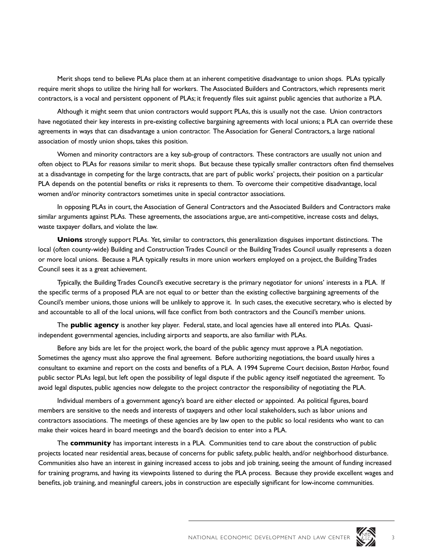Merit shops tend to believe PLAs place them at an inherent competitive disadvantage to union shops. PLAs typically require merit shops to utilize the hiring hall for workers. The Associated Builders and Contractors, which represents merit contractors, is a vocal and persistent opponent of PLAs; it frequently files suit against public agencies that authorize a PLA.

Although it might seem that union contractors would support PLAs, this is usually not the case. Union contractors have negotiated their key interests in pre-existing collective bargaining agreements with local unions; a PLA can override these agreements in ways that can disadvantage a union contractor. The Association for General Contractors, a large national association of mostly union shops, takes this position.

Women and minority contractors are a key sub-group of contractors. These contractors are usually not union and often object to PLAs for reasons similar to merit shops. But because these typically smaller contractors often find themselves at a disadvantage in competing for the large contracts, that are part of public works' projects, their position on a particular PLA depends on the potential benefits or risks it represents to them. To overcome their competitive disadvantage, local women and/or minority contractors sometimes unite in special contractor associations.

In opposing PLAs in court, the Association of General Contractors and the Associated Builders and Contractors make similar arguments against PLAs. These agreements, the associations argue, are anti-competitive, increase costs and delays, waste taxpayer dollars, and violate the law.

**Unions** strongly support PLAs. Yet, similar to contractors, this generalization disguises important distinctions. The local (often county-wide) Building and Construction Trades Council or the Building Trades Council usually represents a dozen or more local unions. Because a PLA typically results in more union workers employed on a project, the Building Trades Council sees it as a great achievement.

Typically, the Building Trades Council's executive secretary is the primary negotiator for unions' interests in a PLA. If the specific terms of a proposed PLA are not equal to or better than the existing collective bargaining agreements of the Council's member unions, those unions will be unlikely to approve it. In such cases, the executive secretary, who is elected by and accountable to all of the local unions, will face conflict from both contractors and the Council's member unions.

The **public agency** is another key player. Federal, state, and local agencies have all entered into PLAs. Quasiindependent governmental agencies, including airports and seaports, are also familiar with PLAs.

Before any bids are let for the project work, the board of the public agency must approve a PLA negotiation. Sometimes the agency must also approve the final agreement. Before authorizing negotiations, the board usually hires a consultant to examine and report on the costs and benefits of a PLA. A 1994 Supreme Court decision, *Boston Harbor,* found public sector PLAs legal, but left open the possibility of legal dispute if the public agency itself negotiated the agreement. To avoid legal disputes, public agencies now delegate to the project contractor the responsibility of negotiating the PLA.

Individual members of a government agency's board are either elected or appointed. As political figures, board members are sensitive to the needs and interests of taxpayers and other local stakeholders, such as labor unions and contractors associations. The meetings of these agencies are by law open to the public so local residents who want to can make their voices heard in board meetings and the board's decision to enter into a PLA.

The **community** has important interests in a PLA. Communities tend to care about the construction of public projects located near residential areas, because of concerns for public safety, public health, and/or neighborhood disturbance. Communities also have an interest in gaining increased access to jobs and job training, seeing the amount of funding increased for training programs, and having its viewpoints listened to during the PLA process. Because they provide excellent wages and benefits, job training, and meaningful careers, jobs in construction are especially significant for low-income communities.

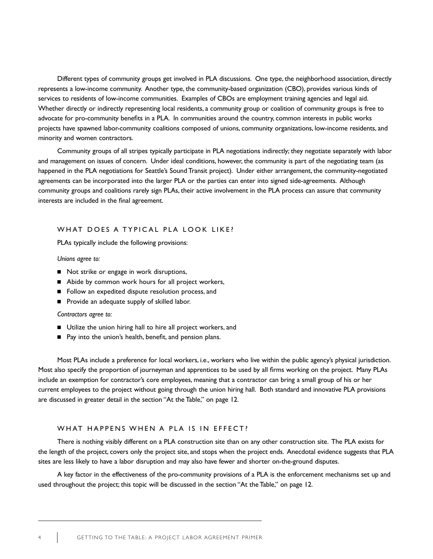Different types of community groups get involved in PLA discussions. One type, the neighborhood association, directly represents a low-income community. Another type, the community-based organization (CBO), provides various kinds of services to residents of low-income communities. Examples of CBOs are employment training agencies and legal aid. Whether directly or indirectly representing local residents, a community group or coalition of community groups is free to advocate for pro-community benefits in a PLA. In communities around the country, common interests in public works projects have spawned labor-community coalitions composed of unions, community organizations, low-income residents, and minority and women contractors.

Community groups of all stripes typically participate in PLA negotiations indirectly; they negotiate separately with labor and management on issues of concern. Under ideal conditions, however, the community is part of the negotiating team (as happened in the PLA negotiations for Seattle's Sound Transit project). Under either arrangement, the community-negotiated agreements can be incorporated into the larger PLA or the parties can enter into signed side-agreements. Although community groups and coalitions rarely sign PLAs, their active involvement in the PLA process can assure that community interests are included in the final agreement.

## WHAT DOES A TYPICAL PLA LOOK LIKE?

PLAs typically include the following provisions:

#### *Unions agree to:*

- Not strike or engage in work disruptions,
- Abide by common work hours for all project workers,
- **■** Follow an expedited dispute resolution process, and
- Provide an adequate supply of skilled labor.

#### *Contractors agree to:*

- Utilize the union hiring hall to hire all project workers, and
- Pay into the union's health, benefit, and pension plans.

Most PLAs include a preference for local workers, i.e., workers who live within the public agency's physical jurisdiction. Most also specify the proportion of journeyman and apprentices to be used by all firms working on the project. Many PLAs include an exemption for contractor's core employees, meaning that a contractor can bring a small group of his or her current employees to the project without going through the union hiring hall. Both standard and innovative PLA provisions are discussed in greater detail in the section "At the Table," on page 12.

## WHAT HAPPENS WHEN A PLA IS IN EFFECT?

There is nothing visibly different on a PLA construction site than on any other construction site. The PLA exists for the length of the project, covers only the project site, and stops when the project ends. Anecdotal evidence suggests that PLA sites are less likely to have a labor disruption and may also have fewer and shorter on-the-ground disputes.

A key factor in the effectiveness of the pro-community provisions of a PLA is the enforcement mechanisms set up and used throughout the project; this topic will be discussed in the section "At the Table," on page 12.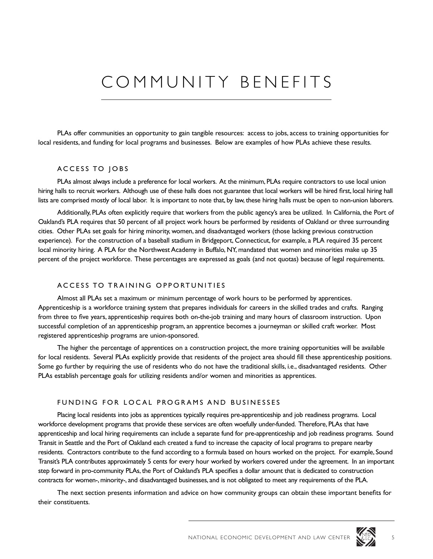# COMMUNITY BENEFITS

PLAs offer communities an opportunity to gain tangible resources: access to jobs, access to training opportunities for local residents, and funding for local programs and businesses. Below are examples of how PLAs achieve these results.

## ACCESS TO JOBS

PLAs almost always include a preference for local workers. At the minimum, PLAs require contractors to use local union hiring halls to recruit workers. Although use of these halls does not guarantee that local workers will be hired first, local hiring hall lists are comprised mostly of local labor. It is important to note that, by law, these hiring halls must be open to non-union laborers.

Additionally, PLAs often explicitly require that workers from the public agency's area be utilized. In California, the Port of Oakland's PLA requires that 50 percent of all project work hours be performed by residents of Oakland or three surrounding cities. Other PLAs set goals for hiring minority, women, and disadvantaged workers (those lacking previous construction experience). For the construction of a baseball stadium in Bridgeport, Connecticut, for example, a PLA required 35 percent local minority hiring. A PLA for the Northwest Academy in Buffalo, NY, mandated that women and minorities make up 35 percent of the project workforce. These percentages are expressed as goals (and not quotas) because of legal requirements.

## ACCESS TO TRAINING OPPORTUNITIES

Almost all PLAs set a maximum or minimum percentage of work hours to be performed by apprentices. Apprenticeship is a workforce training system that prepares individuals for careers in the skilled trades and crafts. Ranging from three to five years, apprenticeship requires both on-the-job training and many hours of classroom instruction. Upon successful completion of an apprenticeship program, an apprentice becomes a journeyman or skilled craft worker. Most registered apprenticeship programs are union-sponsored.

The higher the percentage of apprentices on a construction project, the more training opportunities will be available for local residents. Several PLAs explicitly provide that residents of the project area should fill these apprenticeship positions. Some go further by requiring the use of residents who do not have the traditional skills, i.e., disadvantaged residents. Other PLAs establish percentage goals for utilizing residents and/or women and minorities as apprentices.

## FUNDING FOR LOCAL PROGRAMS AND BUSINESSES

Placing local residents into jobs as apprentices typically requires pre-apprenticeship and job readiness programs. Local workforce development programs that provide these services are often woefully under-funded. Therefore, PLAs that have apprenticeship and local hiring requirements can include a separate fund for pre-apprenticeship and job readiness programs. Sound Transit in Seattle and the Port of Oakland each created a fund to increase the capacity of local programs to prepare nearby residents. Contractors contribute to the fund according to a formula based on hours worked on the project. For example, Sound Transit's PLA contributes approximately 5 cents for every hour worked by workers covered under the agreement. In an important step forward in pro-community PLAs, the Port of Oakland's PLA specifies a dollar amount that is dedicated to construction contracts for women-, minority-, and disadvantaged businesses, and is not obligated to meet any requirements of the PLA.

The next section presents information and advice on how community groups can obtain these important benefits for their constituents.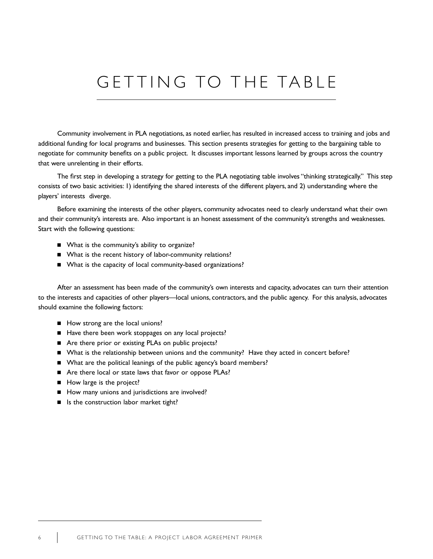# GETTING TO THE TABLE

Community involvement in PLA negotiations, as noted earlier, has resulted in increased access to training and jobs and additional funding for local programs and businesses. This section presents strategies for getting to the bargaining table to negotiate for community benefits on a public project. It discusses important lessons learned by groups across the country that were unrelenting in their efforts.

The first step in developing a strategy for getting to the PLA negotiating table involves "thinking strategically." This step consists of two basic activities: 1) identifying the shared interests of the different players, and 2) understanding where the players' interests diverge.

Before examining the interests of the other players, community advocates need to clearly understand what their own and their community's interests are. Also important is an honest assessment of the community's strengths and weaknesses. Start with the following questions:

- What is the community's ability to organize?
- What is the recent history of labor-community relations?
- What is the capacity of local community-based organizations?

After an assessment has been made of the community's own interests and capacity, advocates can turn their attention to the interests and capacities of other players—local unions, contractors, and the public agency. For this analysis, advocates should examine the following factors:

- How strong are the local unions?
- Have there been work stoppages on any local projects?
- Are there prior or existing PLAs on public projects?
- What is the relationship between unions and the community? Have they acted in concert before?
- What are the political leanings of the public agency's board members?
- Are there local or state laws that favor or oppose PLAs?
- How large is the project?
- How many unions and jurisdictions are involved?
- Is the construction labor market tight?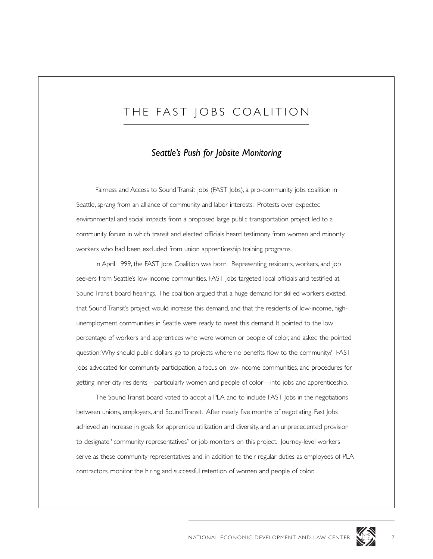## THE FAST JOBS COALITION

## *Seattle's Push for Jobsite Monitoring*

Fairness and Access to Sound Transit Jobs (FAST Jobs), a pro-community jobs coalition in Seattle, sprang from an alliance of community and labor interests. Protests over expected environmental and social impacts from a proposed large public transportation project led to a community forum in which transit and elected officials heard testimony from women and minority workers who had been excluded from union apprenticeship training programs.

In April 1999, the FAST Jobs Coalition was born. Representing residents, workers, and job seekers from Seattle's low-income communities, FAST Jobs targeted local officials and testified at Sound Transit board hearings. The coalition argued that a huge demand for skilled workers existed, that Sound Transit's project would increase this demand, and that the residents of low-income, highunemployment communities in Seattle were ready to meet this demand. It pointed to the low percentage of workers and apprentices who were women or people of color, and asked the pointed question;Why should public dollars go to projects where no benefits flow to the community? FAST Jobs advocated for community participation, a focus on low-income communities, and procedures for getting inner city residents—particularly women and people of color—into jobs and apprenticeship.

The Sound Transit board voted to adopt a PLA and to include FAST Jobs in the negotiations between unions, employers, and Sound Transit. After nearly five months of negotiating, Fast Jobs achieved an increase in goals for apprentice utilization and diversity, and an unprecedented provision to designate "community representatives" or job monitors on this project. Journey-level workers serve as these community representatives and, in addition to their regular duties as employees of PLA contractors, monitor the hiring and successful retention of women and people of color.

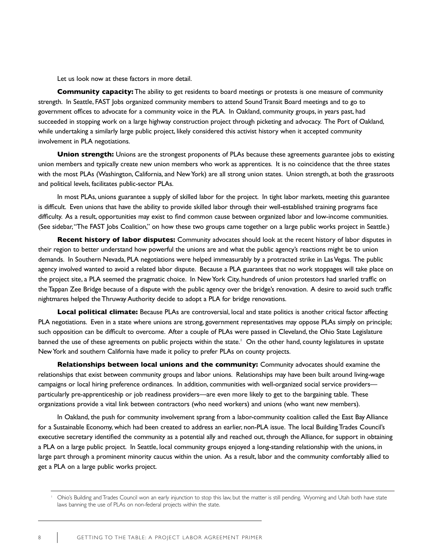Let us look now at these factors in more detail.

**Community capacity:** The ability to get residents to board meetings or protests is one measure of community strength. In Seattle, FAST Jobs organized community members to attend Sound Transit Board meetings and to go to government offices to advocate for a community voice in the PLA. In Oakland, community groups, in years past, had succeeded in stopping work on a large highway construction project through picketing and advocacy. The Port of Oakland, while undertaking a similarly large public project, likely considered this activist history when it accepted community involvement in PLA negotiations.

**Union strength:** Unions are the strongest proponents of PLAs because these agreements guarantee jobs to existing union members and typically create new union members who work as apprentices. It is no coincidence that the three states with the most PLAs (Washington, California, and New York) are all strong union states. Union strength, at both the grassroots and political levels, facilitates public-sector PLAs.

In most PLAs, unions guarantee a supply of skilled labor for the project. In tight labor markets, meeting this guarantee is difficult. Even unions that have the ability to provide skilled labor through their well-established training programs face difficulty. As a result, opportunities may exist to find common cause between organized labor and low-income communities. (See sidebar,"The FAST Jobs Coalition," on how these two groups came together on a large public works project in Seattle.)

**Recent history of labor disputes:** Community advocates should look at the recent history of labor disputes in their region to better understand how powerful the unions are and what the public agency's reactions might be to union demands. In Southern Nevada, PLA negotiations were helped immeasurably by a protracted strike in Las Vegas. The public agency involved wanted to avoid a related labor dispute. Because a PLA guarantees that no work stoppages will take place on the project site, a PLA seemed the pragmatic choice. In New York City, hundreds of union protestors had snarled traffic on the Tappan Zee Bridge because of a dispute with the public agency over the bridge's renovation. A desire to avoid such traffic nightmares helped the Thruway Authority decide to adopt a PLA for bridge renovations.

**Local political climate:** Because PLAs are controversial, local and state politics is another critical factor affecting PLA negotiations. Even in a state where unions are strong, government representatives may oppose PLAs simply on principle; such opposition can be difficult to overcome. After a couple of PLAs were passed in Cleveland, the Ohio State Legislature banned the use of these agreements on public projects within the state.<sup>1</sup> On the other hand, county legislatures in upstate New York and southern California have made it policy to prefer PLAs on county projects.

**Relationships between local unions and the community:** Community advocates should examine the relationships that exist between community groups and labor unions. Relationships may have been built around living-wage campaigns or local hiring preference ordinances. In addition, communities with well-organized social service providers particularly pre-apprenticeship or job readiness providers—are even more likely to get to the bargaining table. These organizations provide a vital link between contractors (who need workers) and unions (who want new members).

In Oakland, the push for community involvement sprang from a labor-community coalition called the East Bay Alliance for a Sustainable Economy, which had been created to address an earlier, non-PLA issue. The local Building Trades Council's executive secretary identified the community as a potential ally and reached out, through the Alliance, for support in obtaining a PLA on a large public project. In Seattle, local community groups enjoyed a long-standing relationship with the unions, in large part through a prominent minority caucus within the union. As a result, labor and the community comfortably allied to get a PLA on a large public works project.

<sup>1</sup> Ohio's Building and Trades Council won an early injunction to stop this law, but the matter is still pending. Wyoming and Utah both have state laws banning the use of PLAs on non-federal projects within the state.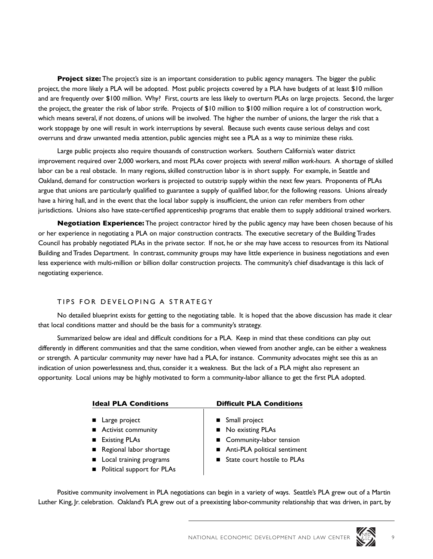**Project size:** The project's size is an important consideration to public agency managers. The bigger the public project, the more likely a PLA will be adopted. Most public projects covered by a PLA have budgets of at least \$10 million and are frequently over \$100 million. Why? First, courts are less likely to overturn PLAs on large projects. Second, the larger the project, the greater the risk of labor strife. Projects of \$10 million to \$100 million require a lot of construction work, which means several, if not dozens, of unions will be involved. The higher the number of unions, the larger the risk that a work stoppage by one will result in work interruptions by several. Because such events cause serious delays and cost overruns and draw unwanted media attention, public agencies might see a PLA as a way to minimize these risks.

Large public projects also require thousands of construction workers. Southern California's water district improvement required over 2,000 workers, and most PLAs cover projects with *several million work-hours.* A shortage of skilled labor can be a real obstacle. In many regions, skilled construction labor is in short supply. For example, in Seattle and Oakland, demand for construction workers is projected to outstrip supply within the next few years. Proponents of PLAs argue that unions are particularly qualified to guarantee a supply of qualified labor, for the following reasons. Unions already have a hiring hall, and in the event that the local labor supply is insufficient, the union can refer members from other jurisdictions. Unions also have state-certified apprenticeship programs that enable them to supply additional trained workers.

**Negotiation Experience:** The project contractor hired by the public agency may have been chosen because of his or her experience in negotiating a PLA on major construction contracts. The executive secretary of the Building Trades Council has probably negotiated PLAs in the private sector. If not, he or she may have access to resources from its National Building and Trades Department. In contrast, community groups may have little experience in business negotiations and even less experience with multi-million or billion dollar construction projects. The community's chief disadvantage is this lack of negotiating experience.

## TIPS FOR DEVELOPING A STRATEGY

No detailed blueprint exists for getting to the negotiating table. It is hoped that the above discussion has made it clear that local conditions matter and should be the basis for a community's strategy.

Summarized below are ideal and difficult conditions for a PLA. Keep in mind that these conditions can play out differently in different communities and that the same condition, when viewed from another angle, can be either a weakness or strength. A particular community may never have had a PLA, for instance. Community advocates might see this as an indication of union powerlessness and, thus, consider it a weakness. But the lack of a PLA might also represent an opportunity. Local unions may be highly motivated to form a community-labor alliance to get the first PLA adopted.

| <b>Ideal PLA Conditions</b>       | <b>Difficult PLA Conditions</b> |  |
|-----------------------------------|---------------------------------|--|
| ■ Large project                   | ■ Small project                 |  |
| Activist community                | No existing PLAs                |  |
| <b>Existing PLAs</b>              | Community-labor tension         |  |
| Regional labor shortage           | ■ Anti-PLA political sentiment  |  |
| Local training programs           | ■ State court hostile to PLAs   |  |
| <b>Political support for PLAs</b> |                                 |  |

Positive community involvement in PLA negotiations can begin in a variety of ways. Seattle's PLA grew out of a Martin Luther King, Jr. celebration. Oakland's PLA grew out of a preexisting labor-community relationship that was driven, in part, by

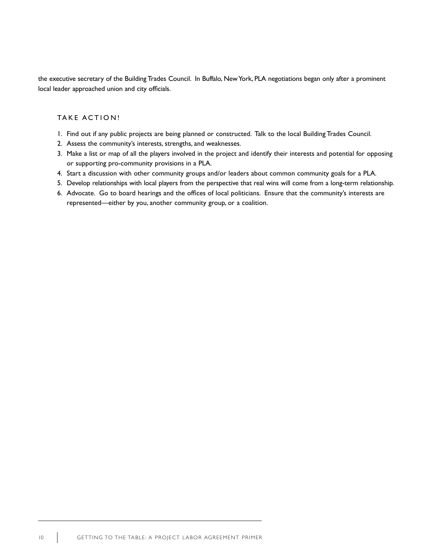the executive secretary of the Building Trades Council. In Buffalo, New York, PLA negotiations began only after a prominent local leader approached union and city officials.

## TAKE ACTION!

- 1. Find out if any public projects are being planned or constructed. Talk to the local Building Trades Council.
- 2. Assess the community's interests, strengths, and weaknesses.
- 3. Make a list or map of all the players involved in the project and identify their interests and potential for opposing or supporting pro-community provisions in a PLA.
- 4. Start a discussion with other community groups and/or leaders about common community goals for a PLA.
- 5. Develop relationships with local players from the perspective that real wins will come from a long-term relationship.
- 6. Advocate. Go to board hearings and the offices of local politicians. Ensure that the community's interests are represented—either by you, another community group, or a coalition.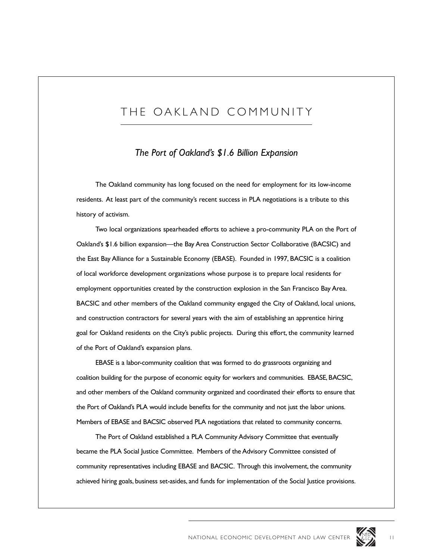## THE OAKLAND COMMUNITY

## *The Port of Oakland's \$1.6 Billion Expansion*

The Oakland community has long focused on the need for employment for its low-income residents. At least part of the community's recent success in PLA negotiations is a tribute to this history of activism.

Two local organizations spearheaded efforts to achieve a pro-community PLA on the Port of Oakland's \$1.6 billion expansion—the Bay Area Construction Sector Collaborative (BACSIC) and the East Bay Alliance for a Sustainable Economy (EBASE). Founded in 1997, BACSIC is a coalition of local workforce development organizations whose purpose is to prepare local residents for employment opportunities created by the construction explosion in the San Francisco Bay Area. BACSIC and other members of the Oakland community engaged the City of Oakland, local unions, and construction contractors for several years with the aim of establishing an apprentice hiring goal for Oakland residents on the City's public projects. During this effort, the community learned of the Port of Oakland's expansion plans.

EBASE is a labor-community coalition that was formed to do grassroots organizing and coalition building for the purpose of economic equity for workers and communities. EBASE, BACSIC, and other members of the Oakland community organized and coordinated their efforts to ensure that the Port of Oakland's PLA would include benefits for the community and not just the labor unions. Members of EBASE and BACSIC observed PLA negotiations that related to community concerns.

The Port of Oakland established a PLA Community Advisory Committee that eventually became the PLA Social Justice Committee. Members of the Advisory Committee consisted of community representatives including EBASE and BACSIC. Through this involvement, the community achieved hiring goals, business set-asides, and funds for implementation of the Social Justice provisions.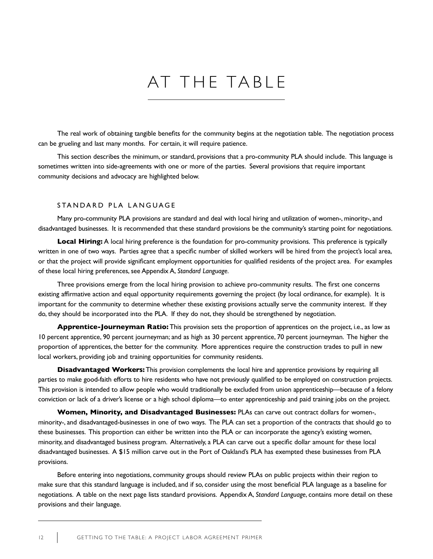# AT THE TABLE

The real work of obtaining tangible benefits for the community begins at the negotiation table. The negotiation process can be grueling and last many months. For certain, it will require patience.

This section describes the minimum, or standard, provisions that a pro-community PLA should include. This language is sometimes written into side-agreements with one or more of the parties. Several provisions that require important community decisions and advocacy are highlighted below.

## S TANDARD PLA LANGUAGE

Many pro-community PLA provisions are standard and deal with local hiring and utilization of women-, minority-, and disadvantaged businesses. It is recommended that these standard provisions be the community's starting point for negotiations.

**Local Hiring:** A local hiring preference is the foundation for pro-community provisions. This preference is typically written in one of two ways. Parties agree that a specific number of skilled workers will be hired from the project's local area, or that the project will provide significant employment opportunities for qualified residents of the project area. For examples of these local hiring preferences, see Appendix A, *Standard Language*.

Three provisions emerge from the local hiring provision to achieve pro-community results. The first one concerns existing affirmative action and equal opportunity requirements governing the project (by local ordinance, for example). It is important for the community to determine whether these existing provisions actually serve the community interest. If they do, they should be incorporated into the PLA. If they do not, they should be strengthened by negotiation.

**Apprentice-Journeyman Ratio:** This provision sets the proportion of apprentices on the project, i.e., as low as 10 percent apprentice, 90 percent journeyman; and as high as 30 percent apprentice, 70 percent journeyman. The higher the proportion of apprentices, the better for the community. More apprentices require the construction trades to pull in new local workers, providing job and training opportunities for community residents.

**Disadvantaged Workers:** This provision complements the local hire and apprentice provisions by requiring all parties to make good-faith efforts to hire residents who have not previously qualified to be employed on construction projects. This provision is intended to allow people who would traditionally be excluded from union apprenticeship—because of a felony conviction or lack of a driver's license or a high school diploma—to enter apprenticeship and paid training jobs on the project.

**Women, Minority, and Disadvantaged Businesses:** PLAs can carve out contract dollars for women-, minority-, and disadvantaged-businesses in one of two ways. The PLA can set a proportion of the contracts that should go to these businesses. This proportion can either be written into the PLA or can incorporate the agency's existing women, minority, and disadvantaged business program. Alternatively, a PLA can carve out a specific dollar amount for these local disadvantaged businesses. A \$15 million carve out in the Port of Oakland's PLA has exempted these businesses from PLA provisions.

Before entering into negotiations, community groups should review PLAs on public projects within their region to make sure that this standard language is included, and if so, consider using the most beneficial PLA language as a baseline for negotiations. A table on the next page lists standard provisions. Appendix A, *Standard Language*, contains more detail on these provisions and their language.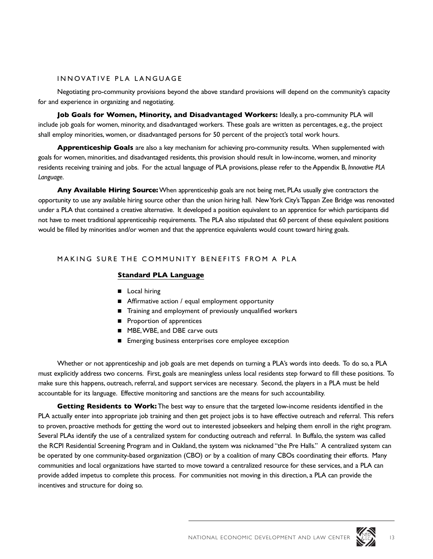## INNOVATIVE PLA LANGUAGE

Negotiating pro-community provisions beyond the above standard provisions will depend on the community's capacity for and experience in organizing and negotiating.

**Job Goals for Women, Minority, and Disadvantaged Workers:** Ideally, a pro-community PLA will include job goals for women, minority, and disadvantaged workers. These goals are written as percentages, e.g., the project shall employ minorities, women, or disadvantaged persons for 50 percent of the project's total work hours.

**Apprenticeship Goals** are also a key mechanism for achieving pro-community results. When supplemented with goals for women, minorities, and disadvantaged residents, this provision should result in low-income, women, and minority residents receiving training and jobs. For the actual language of PLA provisions, please refer to the Appendix B, *Innovative PLA Language.*

**Any Available Hiring Source:**When apprenticeship goals are not being met, PLAs usually give contractors the opportunity to use any available hiring source other than the union hiring hall. New York City's Tappan Zee Bridge was renovated under a PLA that contained a creative alternative. It developed a position equivalent to an apprentice for which participants did not have to meet traditional apprenticeship requirements. The PLA also stipulated that 60 percent of these equivalent positions would be filled by minorities and/or women and that the apprentice equivalents would count toward hiring goals.

## MAKING SURE THE COMMUNITY BENEFITS FROM A PLA

## **Standard PLA Language**

- Local hiring
- Affirmative action / equal employment opportunity
- **■** Training and employment of previously unqualified workers
- Proportion of apprentices
- MBE, WBE, and DBE carve outs
- Emerging business enterprises core employee exception

Whether or not apprenticeship and job goals are met depends on turning a PLA's words into deeds. To do so, a PLA must explicitly address two concerns. First, goals are meaningless unless local residents step forward to fill these positions. To make sure this happens, outreach, referral, and support services are necessary. Second, the players in a PLA must be held accountable for its language. Effective monitoring and sanctions are the means for such accountability.

**Getting Residents to Work:** The best way to ensure that the targeted low-income residents identified in the PLA actually enter into appropriate job training and then get project jobs is to have effective outreach and referral. This refers to proven, proactive methods for getting the word out to interested jobseekers and helping them enroll in the right program. Several PLAs identify the use of a centralized system for conducting outreach and referral. In Buffalo, the system was called the RCPI Residential Screening Program and in Oakland, the system was nicknamed "the Pre Halls." A centralized system can be operated by one community-based organization (CBO) or by a coalition of many CBOs coordinating their efforts. Many communities and local organizations have started to move toward a centralized resource for these services, and a PLA can provide added impetus to complete this process. For communities not moving in this direction, a PLA can provide the incentives and structure for doing so.

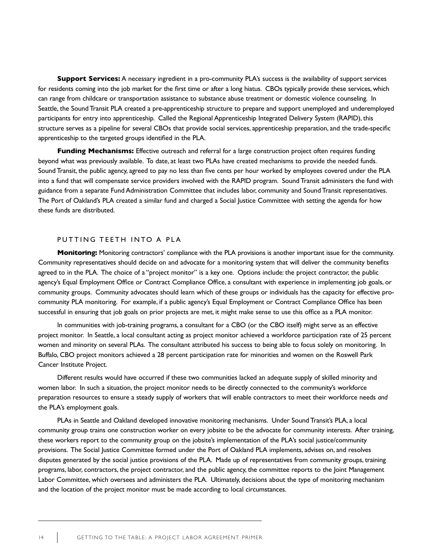**Support Services:** A necessary ingredient in a pro-community PLA's success is the availability of support services for residents coming into the job market for the first time or after a long hiatus. CBOs typically provide these services, which can range from childcare or transportation assistance to substance abuse treatment or domestic violence counseling. In Seattle, the Sound Transit PLA created a pre-apprenticeship structure to prepare and support unemployed and underemployed participants for entry into apprenticeship. Called the Regional Apprenticeship Integrated Delivery System (RAPID), this structure serves as a pipeline for several CBOs that provide social services, apprenticeship preparation, and the trade-specific apprenticeship to the targeted groups identified in the PLA.

**Funding Mechanisms:** Effective outreach and referral for a large construction project often requires funding beyond what was previously available. To date, at least two PLAs have created mechanisms to provide the needed funds. Sound Transit, the public agency, agreed to pay no less than five cents per hour worked by employees covered under the PLA into a fund that will compensate service providers involved with the RAPID program. Sound Transit administers the fund with guidance from a separate Fund Administration Committee that includes labor, community and Sound Transit representatives. The Port of Oakland's PLA created a similar fund and charged a Social Justice Committee with setting the agenda for how these funds are distributed.

## PUTTING TEETH INTO A PLA

**Monitoring:** Monitoring contractors' compliance with the PLA provisions is another important issue for the community. Community representatives should decide on and advocate for a monitoring system that will deliver the community benefits agreed to in the PLA. The choice of a "project monitor" is a key one. Options include: the project contractor, the public agency's Equal Employment Office or Contract Compliance Office, a consultant with experience in implementing job goals, or community groups. Community advocates should learn which of these groups or individuals has the capacity for effective procommunity PLA monitoring. For example, if a public agency's Equal Employment or Contract Compliance Office has been successful in ensuring that job goals on prior projects are met, it might make sense to use this office as a PLA monitor.

In communities with job-training programs, a consultant for a CBO (or the CBO itself) might serve as an effective project monitor. In Seattle, a local consultant acting as project monitor achieved a workforce participation rate of 25 percent women and minority on several PLAs. The consultant attributed his success to being able to focus solely on monitoring. In Buffalo, CBO project monitors achieved a 28 percent participation rate for minorities and women on the Roswell Park Cancer Institute Project.

Different results would have occurred if these two communities lacked an adequate supply of skilled minority and women labor. In such a situation, the project monitor needs to be directly connected to the community's workforce preparation resources to ensure a steady supply of workers that will enable contractors to meet their workforce needs *and* the PLA's employment goals.

PLAs in Seattle and Oakland developed innovative monitoring mechanisms. Under Sound Transit's PLA, a local community group trains one construction worker on every jobsite to be the advocate for community interests. After training, these workers report to the community group on the jobsite's implementation of the PLA's social justice/community provisions. The Social Justice Committee formed under the Port of Oakland PLA implements, advises on, and resolves disputes generated by the social justice provisions of the PLA. Made up of representatives from community groups, training programs, labor, contractors, the project contractor, and the public agency, the committee reports to the Joint Management Labor Committee, which oversees and administers the PLA. Ultimately, decisions about the type of monitoring mechanism and the location of the project monitor must be made according to local circumstances.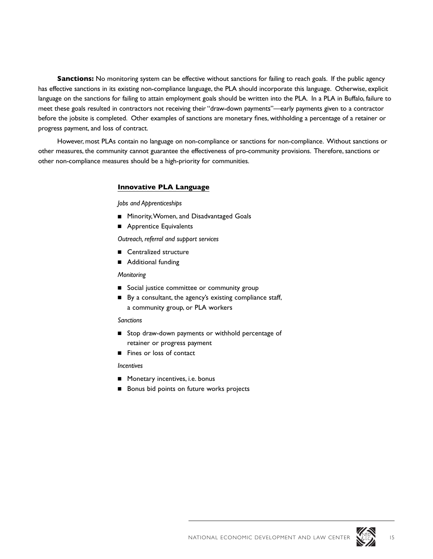**Sanctions:** No monitoring system can be effective without sanctions for failing to reach goals. If the public agency has effective sanctions in its existing non-compliance language, the PLA should incorporate this language. Otherwise, explicit language on the sanctions for failing to attain employment goals should be written into the PLA. In a PLA in Buffalo, failure to meet these goals resulted in contractors not receiving their "draw-down payments"—early payments given to a contractor before the jobsite is completed. Other examples of sanctions are monetary fines, withholding a percentage of a retainer or progress payment, and loss of contract.

However, most PLAs contain no language on non-compliance or sanctions for non-compliance. Without sanctions or other measures, the community cannot guarantee the effectiveness of pro-community provisions. Therefore, sanctions or other non-compliance measures should be a high-priority for communities.

## **Innovative PLA Language**

*Jobs and Apprenticeships*

- **■** Minority,Women, and Disadvantaged Goals
- **■** Apprentice Equivalents

*Outreach, referral and support services*

- Centralized structure
- Additional funding

### *Monitoring*

- Social justice committee or community group
- By a consultant, the agency's existing compliance staff, a community group, or PLA workers

#### *Sanctions*

- Stop draw-down payments or withhold percentage of retainer or progress payment
- **■** Fines or loss of contact

## *Incentives*

- Monetary incentives, i.e. bonus
- **■** Bonus bid points on future works projects

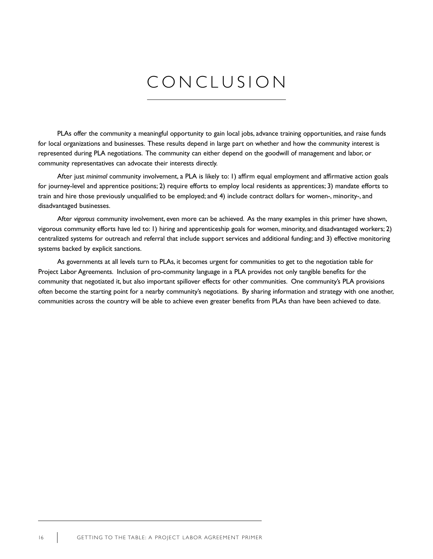# CONCLUSION

PLAs offer the community a meaningful opportunity to gain local jobs, advance training opportunities, and raise funds for local organizations and businesses. These results depend in large part on whether and how the community interest is represented during PLA negotiations. The community can either depend on the goodwill of management and labor, or community representatives can advocate their interests directly.

After just *minimal* community involvement, a PLA is likely to: 1) affirm equal employment and affirmative action goals for journey-level and apprentice positions; 2) require efforts to employ local residents as apprentices; 3) mandate efforts to train and hire those previously unqualified to be employed; and 4) include contract dollars for women-, minority-, and disadvantaged businesses.

After *vigorous* community involvement, even more can be achieved. As the many examples in this primer have shown, vigorous community efforts have led to: 1) hiring and apprenticeship goals for women, minority, and disadvantaged workers; 2) centralized systems for outreach and referral that include support services and additional funding; and 3) effective monitoring systems backed by explicit sanctions.

As governments at all levels turn to PLAs, it becomes urgent for communities to get to the negotiation table for Project Labor Agreements. Inclusion of pro-community language in a PLA provides not only tangible benefits for the community that negotiated it, but also important spillover effects for other communities. One community's PLA provisions often become the starting point for a nearby community's negotiations. By sharing information and strategy with one another, communities across the country will be able to achieve even greater benefits from PLAs than have been achieved to date.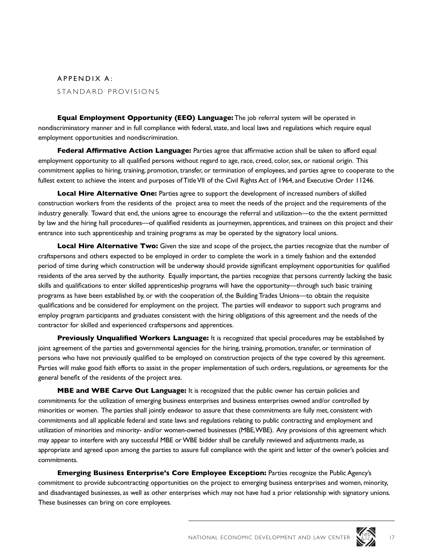## A PPENDIX A: S TANDARD PROVISIONS

**Equal Employment Opportunity (EEO) Language:** The job referral system will be operated in nondiscriminatory manner and in full compliance with federal, state, and local laws and regulations which require equal employment opportunities and nondiscrimination.

**Federal Affirmative Action Language:** Parties agree that affirmative action shall be taken to afford equal employment opportunity to all qualified persons without regard to age, race, creed, color, sex, or national origin. This commitment applies to hiring, training, promotion, transfer, or termination of employees, and parties agree to cooperate to the fullest extent to achieve the intent and purposes of Title VII of the Civil Rights Act of 1964, and Executive Order 11246.

**Local Hire Alternative One:** Parties agree to support the development of increased numbers of skilled construction workers from the residents of the project area to meet the needs of the project and the requirements of the industry generally. Toward that end, the unions agree to encourage the referral and utilization—to the the extent permitted by law and the hiring hall procedures—of qualified residents as journeymen, apprentices, and trainees on this project and their entrance into such apprenticeship and training programs as may be operated by the signatory local unions.

**Local Hire Alternative Two:** Given the size and scope of the project, the parties recognize that the number of craftspersons and others expected to be employed in order to complete the work in a timely fashion and the extended period of time during which construction will be underway should provide significant employment opportunities for qualified residents of the area served by the authority. Equally important, the parties recognize that persons currently lacking the basic skills and qualifications to enter skilled apprenticeship programs will have the opportunity—through such basic training programs as have been established by, or with the cooperation of, the Building Trades Unions—to obtain the requisite qualifications and be considered for employment on the project. The parties will endeavor to support such programs and employ program participants and graduates consistent with the hiring obligations of this agreement and the needs of the contractor for skilled and experienced craftspersons and apprentices.

**Previously Unqualified Workers Language:** It is recognized that special procedures may be established by joint agreement of the parties and governmental agencies for the hiring, training, promotion, transfer, or termination of persons who have not previously qualified to be employed on construction projects of the type covered by this agreement. Parties will make good faith efforts to assist in the proper implementation of such orders, regulations, or agreements for the general benefit of the residents of the project area.

**MBE and WBE Carve Out Language:** It is recognized that the public owner has certain policies and commitments for the utilization of emerging business enterprises and business enterprises owned and/or controlled by minorities or women. The parties shall jointly endeavor to assure that these commitments are fully met, consistent with commitments and all applicable federal and state laws and regulations relating to public contracting and employment and utilization of minorities and minority- and/or women-owned businesses (MBE,WBE). Any provisions of this agreement which may appear to interfere with any successful MBE or WBE bidder shall be carefully reviewed and adjustments made, as appropriate and agreed upon among the parties to assure full compliance with the spirit and letter of the owner's policies and commitments.

**Emerging Business Enterprise's Core Employee Exception:** Parties recognize the Public Agency's commitment to provide subcontracting opportunities on the project to emerging business enterprises and women, minority, and disadvantaged businesses, as well as other enterprises which may not have had a prior relationship with signatory unions. These businesses can bring on core employees.

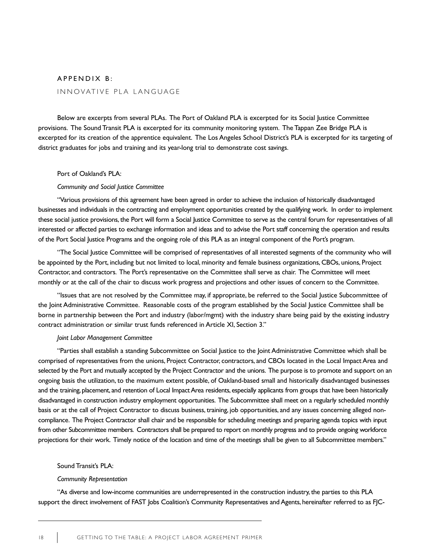### A PPENDIX B:

## INNOVATIVE PLA LANGUAGE

Below are excerpts from several PLAs. The Port of Oakland PLA is excerpted for its Social Justice Committee provisions. The Sound Transit PLA is excerpted for its community monitoring system. The Tappan Zee Bridge PLA is excerpted for its creation of the apprentice equivalent. The Los Angeles School District's PLA is excerpted for its targeting of district graduates for jobs and training and its year-long trial to demonstrate cost savings.

### Port of Oakland's PLA:

## *Community and Social Justice Committee*

"Various provisions of this agreement have been agreed in order to achieve the inclusion of historically disadvantaged businesses and individuals in the contracting and employment opportunities created by the qualifying work. In order to implement these social justice provisions, the Port will form a Social Justice Committee to serve as the central forum for representatives of all interested or affected parties to exchange information and ideas and to advise the Port staff concerning the operation and results of the Port Social Justice Programs and the ongoing role of this PLA as an integral component of the Port's program.

"The Social Justice Committee will be comprised of representatives of all interested segments of the community who will be appointed by the Port, including but not limited to local, minority and female business organizations, CBOs, unions, Project Contractor, and contractors. The Port's representative on the Committee shall serve as chair. The Committee will meet monthly or at the call of the chair to discuss work progress and projections and other issues of concern to the Committee.

"Issues that are not resolved by the Committee may, if appropriate, be referred to the Social Justice Subcommittee of the Joint Administrative Committee. Reasonable costs of the program established by the Social Justice Committee shall be borne in partnership between the Port and industry (labor/mgmt) with the industry share being paid by the existing industry contract administration or similar trust funds referenced in Article XI, Section 3."

## *Joint Labor Management Committee*

"Parties shall establish a standing Subcommittee on Social Justice to the Joint Administrative Committee which shall be comprised of representatives from the unions, Project Contractor, contractors, and CBOs located in the Local Impact Area and selected by the Port and mutually accepted by the Project Contractor and the unions. The purpose is to promote and support on an ongoing basis the utilization, to the maximum extent possible, of Oakland-based small and historically disadvantaged businesses and the training, placement, and retention of Local Impact Area residents, especially applicants from groups that have been historically disadvantaged in construction industry employment opportunities. The Subcommittee shall meet on a regularly scheduled monthly basis or at the call of Project Contractor to discuss business, training, job opportunities, and any issues concerning alleged noncompliance. The Project Contractor shall chair and be responsible for scheduling meetings and preparing agenda topics with input from other Subcommittee members. Contractors shall be prepared to report on monthly progress and to provide ongoing workforce projections for their work. Timely notice of the location and time of the meetings shall be given to all Subcommittee members."

#### Sound Transit's PLA:

#### *Community Representation*

"As diverse and low-income communities are underrepresented in the construction industry, the parties to this PLA support the direct involvement of FAST Jobs Coalition's Community Representatives and Agents, hereinafter referred to as FJC-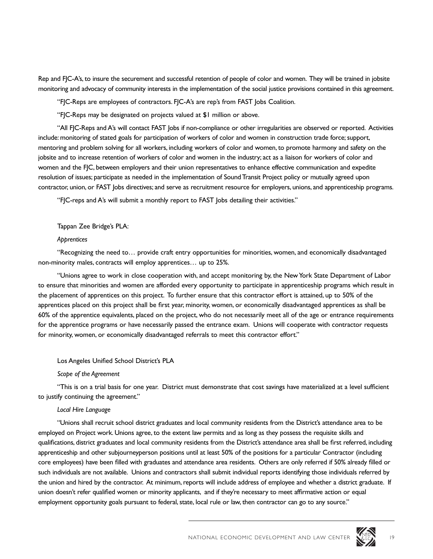Rep and FJC-A's, to insure the securement and successful retention of people of color and women. They will be trained in jobsite monitoring and advocacy of community interests in the implementation of the social justice provisions contained in this agreement.

"FJC-Reps are employees of contractors. FJC-A's are rep's from FAST Jobs Coalition.

"FJC-Reps may be designated on projects valued at \$1 million or above.

"All FJC-Reps and A's will contact FAST Jobs if non-compliance or other irregularities are observed or reported. Activities include: monitoring of stated goals for participation of workers of color and women in construction trade force; support, mentoring and problem solving for all workers, including workers of color and women, to promote harmony and safety on the jobsite and to increase retention of workers of color and women in the industry; act as a liaison for workers of color and women and the FJC, between employers and their union representatives to enhance effective communication and expedite resolution of issues; participate as needed in the implementation of Sound Transit Project policy or mutually agreed upon contractor, union, or FAST Jobs directives; and serve as recruitment resource for employers, unions, and apprenticeship programs.

"FJC-reps and A's will submit a monthly report to FAST Jobs detailing their activities."

### Tappan Zee Bridge's PLA:

### *Apprentices*

"Recognizing the need to… provide craft entry opportunities for minorities, women, and economically disadvantaged non-minority males, contracts will employ apprentices… up to 25%.

"Unions agree to work in close cooperation with, and accept monitoring by, the New York State Department of Labor to ensure that minorities and women are afforded every opportunity to participate in apprenticeship programs which result in the placement of apprentices on this project. To further ensure that this contractor effort is attained, up to 50% of the apprentices placed on this project shall be first year, minority, women, or economically disadvantaged apprentices as shall be 60% of the apprentice equivalents, placed on the project, who do not necessarily meet all of the age or entrance requirements for the apprentice programs or have necessarily passed the entrance exam. Unions will cooperate with contractor requests for minority, women, or economically disadvantaged referrals to meet this contractor effort."

## Los Angeles Unified School District's PLA

## *Scope of the Agreement*

"This is on a trial basis for one year. District must demonstrate that cost savings have materialized at a level sufficient to justify continuing the agreement."

#### *Local Hire Language*

"Unions shall recruit school district graduates and local community residents from the District's attendance area to be employed on Project work. Unions agree, to the extent law permits and as long as they possess the requisite skills and qualifications, district graduates and local community residents from the District's attendance area shall be first referred, including apprenticeship and other subjourneyperson positions until at least 50% of the positions for a particular Contractor (including core employees) have been filled with graduates and attendance area residents. Others are only referred if 50% already filled or such individuals are not available. Unions and contractors shall submit individual reports identifying those individuals referred by the union and hired by the contractor. At minimum, reports will include address of employee and whether a district graduate. If union doesn't refer qualified women or minority applicants, and if they're necessary to meet affirmative action or equal employment opportunity goals pursuant to federal, state, local rule or law, then contractor can go to any source."

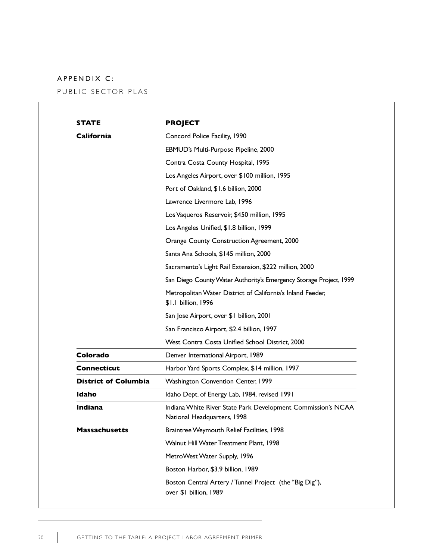## A PPENDIX C:

PUBLIC SECTOR PLAS

| STATE                       | <b>PROJECT</b>                                                                              |
|-----------------------------|---------------------------------------------------------------------------------------------|
| <b>California</b>           | Concord Police Facility, 1990                                                               |
|                             | EBMUD's Multi-Purpose Pipeline, 2000                                                        |
|                             | Contra Costa County Hospital, 1995                                                          |
|                             | Los Angeles Airport, over \$100 million, 1995                                               |
|                             | Port of Oakland, \$1.6 billion, 2000                                                        |
|                             | Lawrence Livermore Lab, 1996                                                                |
|                             | Los Vaqueros Reservoir, \$450 million, 1995                                                 |
|                             | Los Angeles Unified, \$1.8 billion, 1999                                                    |
|                             | Orange County Construction Agreement, 2000                                                  |
|                             | Santa Ana Schools, \$145 million, 2000                                                      |
|                             | Sacramento's Light Rail Extension, \$222 million, 2000                                      |
|                             | San Diego County Water Authority's Emergency Storage Project, 1999                          |
|                             | Metropolitan Water District of California's Inland Feeder,<br>\$1.1 billion, 1996           |
|                             | San Jose Airport, over \$1 billion, 2001                                                    |
|                             | San Francisco Airport, \$2.4 billion, 1997                                                  |
|                             | West Contra Costa Unified School District, 2000                                             |
| Colorado                    | Denver International Airport, 1989                                                          |
| <b>Connecticut</b>          | Harbor Yard Sports Complex, \$14 million, 1997                                              |
| <b>District of Columbia</b> | Washington Convention Center, 1999                                                          |
| Idaho                       | Idaho Dept. of Energy Lab, 1984, revised 1991                                               |
| <b>Indiana</b>              | Indiana White River State Park Development Commission's NCAA<br>National Headquarters, 1998 |
| <b>Massachusetts</b>        | Braintree Weymouth Relief Facilities, 1998                                                  |
|                             | Walnut Hill Water Treatment Plant, 1998                                                     |
|                             | MetroWest Water Supply, 1996                                                                |
|                             | Boston Harbor, \$3.9 billion, 1989                                                          |
|                             | Boston Central Artery / Tunnel Project (the "Big Dig"),                                     |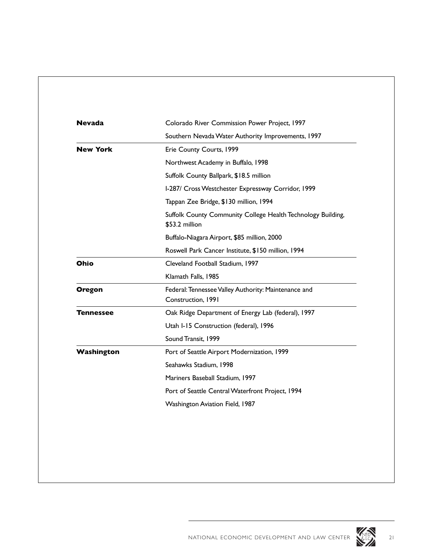| <b>Nevada</b>    | Colorado River Commission Power Project, 1997                                  |
|------------------|--------------------------------------------------------------------------------|
|                  | Southern Nevada Water Authority Improvements, 1997                             |
| <b>New York</b>  | Erie County Courts, 1999                                                       |
|                  | Northwest Academy in Buffalo, 1998                                             |
|                  | Suffolk County Ballpark, \$18.5 million                                        |
|                  | I-287/ Cross Westchester Expressway Corridor, 1999                             |
|                  | Tappan Zee Bridge, \$130 million, 1994                                         |
|                  | Suffolk County Community College Health Technology Building,<br>\$53.2 million |
|                  | Buffalo-Niagara Airport, \$85 million, 2000                                    |
|                  | Roswell Park Cancer Institute, \$150 million, 1994                             |
| Ohio             | Cleveland Football Stadium, 1997                                               |
|                  | Klamath Falls, 1985                                                            |
| <b>Oregon</b>    | Federal: Tennessee Valley Authority: Maintenance and<br>Construction, 1991     |
| <b>Tennessee</b> | Oak Ridge Department of Energy Lab (federal), 1997                             |
|                  | Utah I-15 Construction (federal), 1996                                         |
|                  | Sound Transit. 1999                                                            |
| Washington       | Port of Seattle Airport Modernization, 1999                                    |
|                  | Seahawks Stadium, 1998                                                         |
|                  | Mariners Baseball Stadium, 1997                                                |
|                  | Port of Seattle Central Waterfront Project, 1994                               |
|                  | Washington Aviation Field, 1987                                                |

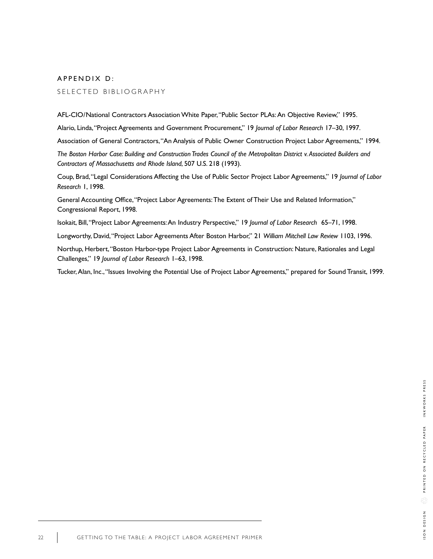## A PPENDIX D: S ELECTED BIBLIOGRAPHY

AFL-CIO/National Contractors Association White Paper, "Public Sector PLAs: An Objective Review," 1995.

Alario, Linda,"Project Agreements and Government Procurement," 19 *Journal of Labor Research* 17–30, 1997.

Association of General Contractors,"An Analysis of Public Owner Construction Project Labor Agreements," 1994.

*The Boston Harbor Case: Building and Construction Trades Council of the Metropolitan District v. Associated Builders and Contractors of Massachusetts and Rhode Island*, 507 U.S. 218 (1993).

Coup, Brad,"Legal Considerations Affecting the Use of Public Sector Project Labor Agreements," 19 *Journal of Labor Research* 1, 1998.

General Accounting Office,"Project Labor Agreements:The Extent of Their Use and Related Information," Congressional Report, 1998.

Isokait, Bill,"Project Labor Agreements:An Industry Perspective," 19 *Journal of Labor Research* 65–71, 1998.

Longworthy, David,"Project Labor Agreements After Boston Harbor," 21 *William Mitchell Law Review* 1103, 1996.

Northup, Herbert,"Boston Harbor-type Project Labor Agreements in Construction: Nature, Rationales and Legal Challenges," 19 *Journal of Labor Research* 1–63, 1998.

Tucker, Alan, Inc., "Issues Involving the Potential Use of Project Labor Agreements," prepared for Sound Transit, 1999.